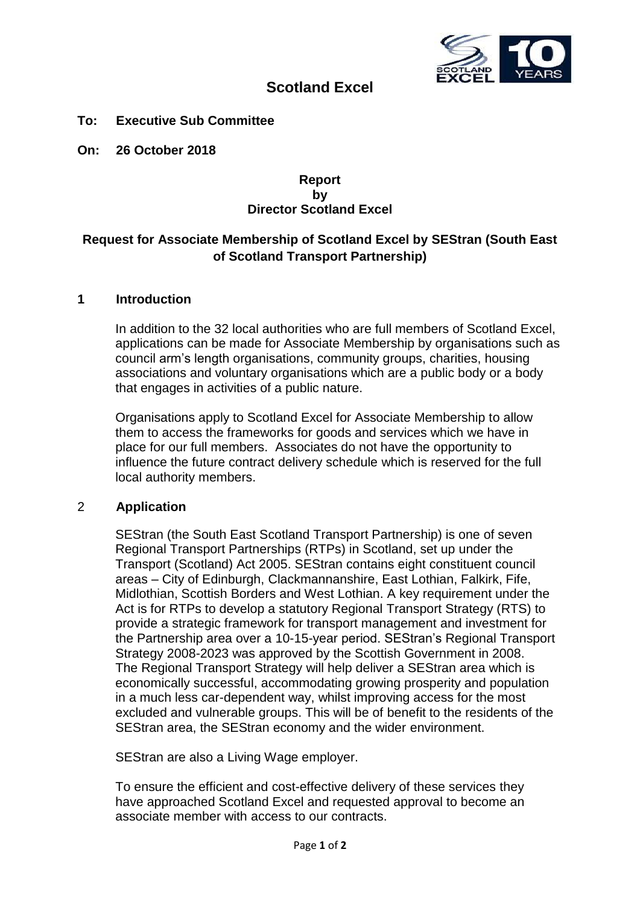

# **Scotland Excel**

**To: Executive Sub Committee**

**On: 26 October 2018**

#### **Report by Director Scotland Excel**

# **Request for Associate Membership of Scotland Excel by SEStran (South East of Scotland Transport Partnership)**

#### **1 Introduction**

In addition to the 32 local authorities who are full members of Scotland Excel, applications can be made for Associate Membership by organisations such as council arm's length organisations, community groups, charities, housing associations and voluntary organisations which are a public body or a body that engages in activities of a public nature.

Organisations apply to Scotland Excel for Associate Membership to allow them to access the frameworks for goods and services which we have in place for our full members. Associates do not have the opportunity to influence the future contract delivery schedule which is reserved for the full local authority members.

### 2 **Application**

SEStran (the South East Scotland Transport Partnership) is one of seven Regional Transport Partnerships (RTPs) in Scotland, set up under the Transport (Scotland) Act 2005. SEStran contains eight constituent council areas – City of Edinburgh, Clackmannanshire, East Lothian, Falkirk, Fife, Midlothian, Scottish Borders and West Lothian. A key requirement under the Act is for RTPs to develop a statutory Regional Transport Strategy (RTS) to provide a strategic framework for transport management and investment for the Partnership area over a 10-15-year period. SEStran's Regional Transport Strategy 2008-2023 was approved by the Scottish Government in 2008. The Regional Transport Strategy will help deliver a SEStran area which is economically successful, accommodating growing prosperity and population in a much less car-dependent way, whilst improving access for the most excluded and vulnerable groups. This will be of benefit to the residents of the SEStran area, the SEStran economy and the wider environment.

SEStran are also a Living Wage employer.

To ensure the efficient and cost-effective delivery of these services they have approached Scotland Excel and requested approval to become an associate member with access to our contracts.